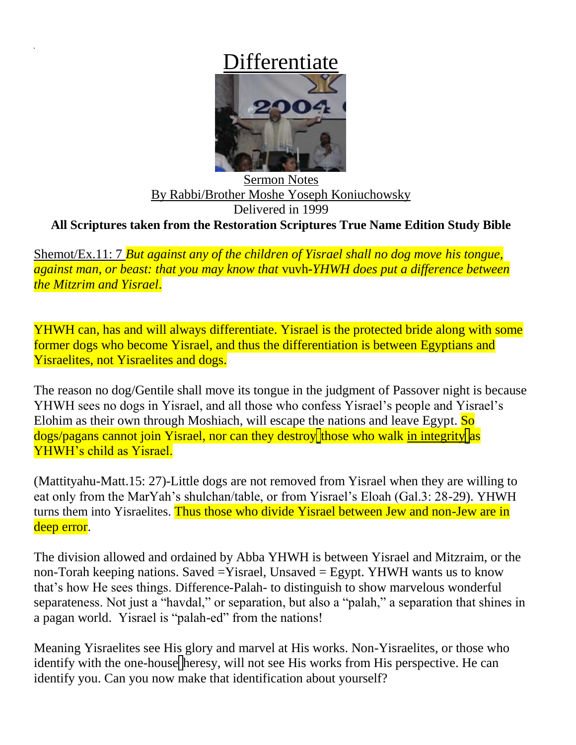## Differentiate



Sermon Notes By Rabbi/Brother Moshe Yoseph Koniuchowsky Delivered in 1999 **All Scriptures taken from the Restoration Scriptures True Name Edition Study Bible**

Shemot/Ex.11: 7 *But against any of the children of Yisrael shall no dog move his tongue, against man, or beast: that you may know that* vuvh*-YHWH does put a difference between the Mitzrim and Yisrael*.

YHWH can, has and will always differentiate. Yisrael is the protected bride along with some former dogs who become Yisrael, and thus the differentiation is between Egyptians and Yisraelites, not Yisraelites and dogs.

The reason no dog/Gentile shall move its tongue in the judgment of Passover night is because YHWH sees no dogs in Yisrael, and all those who confess Yisrael's people and Yisrael's Elohim as their own through Moshiach, will escape the nations and leave Egypt. So  $\frac{dogs}{pags}$  cannot join Yisrael, nor can they destroy those who walk in integrity as YHWH's child as Yisrael.

(Mattityahu-Matt.15: 27)-Little dogs are not removed from Yisrael when they are willing to eat only from the MarYah's shulchan/table, or from Yisrael's Eloah (Gal.3: 28-29). YHWH turns them into Yisraelites. Thus those who divide Yisrael between Jew and non-Jew are in deep error.

The division allowed and ordained by Abba YHWH is between Yisrael and Mitzraim, or the non-Torah keeping nations. Saved =Yisrael, Unsaved = Egypt. YHWH wants us to know that's how He sees things. Difference-Palah- to distinguish to show marvelous wonderful separateness. Not just a "havdal," or separation, but also a "palah," a separation that shines in a pagan world. Yisrael is "palah-ed" from the nations!

Meaning Yisraelites see His glory and marvel at His works. Non-Yisraelites, or those who identify with the one-house heresy, will not see His works from His perspective. He can identify you. Can you now make that identification about yourself?